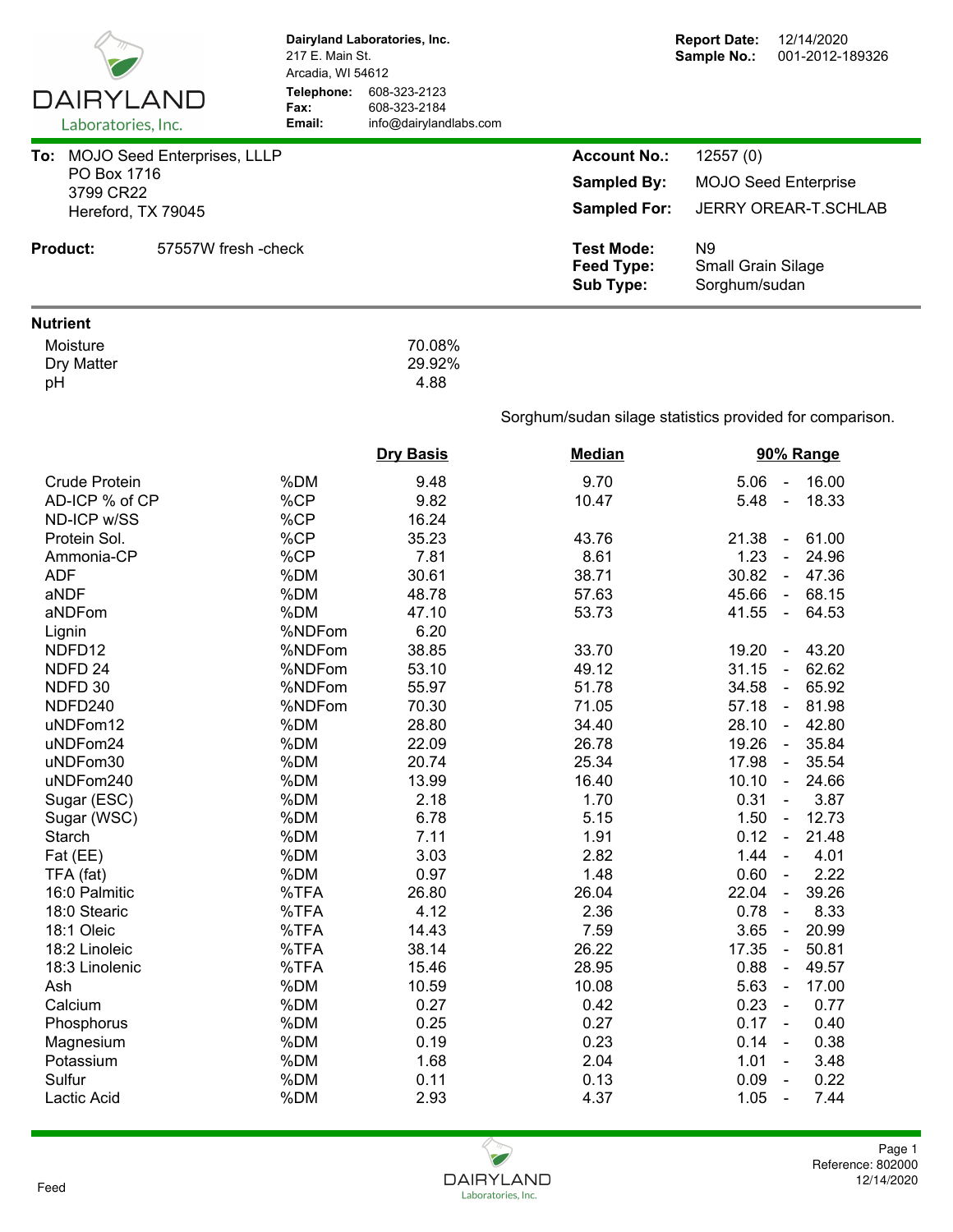|                                 | Dairyland Laboratories, Inc.<br>217 E. Main St.<br>Arcadia, WI 54612 |                                                        |                                                            | <b>Report Date:</b><br>12/14/2020<br>Sample No.:<br>001-2012-189326 |
|---------------------------------|----------------------------------------------------------------------|--------------------------------------------------------|------------------------------------------------------------|---------------------------------------------------------------------|
| DAIRYLAND<br>Laboratories, Inc. | Telephone:<br>Fax:<br>Email:                                         | 608-323-2123<br>608-323-2184<br>info@dairylandlabs.com |                                                            |                                                                     |
| To: MOJO Seed Enterprises, LLLP |                                                                      |                                                        | <b>Account No.:</b>                                        | 12557(0)                                                            |
| PO Box 1716                     |                                                                      |                                                        | <b>Sampled By:</b>                                         | <b>MOJO Seed Enterprise</b>                                         |
| 3799 CR22<br>Hereford, TX 79045 |                                                                      |                                                        | <b>Sampled For:</b>                                        | <b>JERRY OREAR-T.SCHLAB</b>                                         |
|                                 |                                                                      |                                                        |                                                            |                                                                     |
| <b>Product:</b>                 | 57557W fresh - check                                                 |                                                        | <b>Test Mode:</b><br><b>Feed Type:</b><br><b>Sub Type:</b> | N <sub>9</sub><br>Small Grain Silage<br>Sorghum/sudan               |
| <b>Nutrient</b>                 |                                                                      |                                                        |                                                            |                                                                     |
| Moisture<br>Dry Matter<br>pH    |                                                                      | 70.08%<br>29.92%<br>4.88                               |                                                            |                                                                     |
|                                 |                                                                      |                                                        |                                                            | Sorghum/sudan silage statistics provided for comparison.            |
|                                 |                                                                      | <b>Dry Basis</b>                                       | <b>Median</b>                                              | 90% Range                                                           |
| <b>Crude Protein</b>            | %DM                                                                  | 9.48                                                   | 9.70                                                       | 16.00<br>5.06<br>$\blacksquare$                                     |
| AD-ICP % of CP                  | %CP                                                                  | 9.82                                                   | 10.47                                                      | 5.48<br>18.33<br>$\blacksquare$                                     |
| ND-ICP w/SS                     | %CP                                                                  | 16.24                                                  |                                                            |                                                                     |
| Protein Sol.                    | %CP                                                                  | 35.23                                                  | 43.76                                                      | 21.38<br>61.00<br>$\blacksquare$                                    |
| Ammonia-CP                      | %CP                                                                  | 7.81                                                   | 8.61                                                       | 1.23<br>24.96<br>$\sim$                                             |
| <b>ADF</b>                      | %DM                                                                  | 30.61                                                  | 38.71                                                      | 30.82<br>$-47.36$                                                   |
| aNDF                            | %DM                                                                  | 48.78                                                  | 57.63                                                      | $-68.15$<br>45.66                                                   |
| aNDFom                          | %DM                                                                  | 47.10                                                  | 53.73                                                      | 41.55<br>64.53<br>$\blacksquare$                                    |
| Lignin                          | %NDFom                                                               | 6.20                                                   |                                                            |                                                                     |
| NDFD12                          | %NDFom                                                               | 38.85                                                  | 33.70                                                      | 43.20<br>19.20<br>$\blacksquare$                                    |
| NDFD <sub>24</sub>              | %NDFom                                                               | 53.10                                                  | 49.12                                                      | 62.62<br>31.15<br>$\omega$                                          |
| NDFD 30                         | %NDFom                                                               | 55.97                                                  | 51.78                                                      | 65.92<br>34.58<br>$\blacksquare$                                    |
| NDFD240                         | %NDFom                                                               | 70.30                                                  | 71.05                                                      | 57.18<br>$-81.98$                                                   |
| uNDFom12                        | %DM                                                                  | 28.80                                                  | 34.40                                                      | 28.10<br>42.80                                                      |
| uNDFom24                        | %DM                                                                  | 22.09                                                  | 26.78                                                      | $\sim$<br>19.26<br>35.84                                            |
| uNDFom30                        | %DM                                                                  | 20.74                                                  | 25.34                                                      | 35.54<br>17.98<br>$\blacksquare$                                    |
| uNDFom240                       | %DM                                                                  | 13.99                                                  | 16.40                                                      | 10.10<br>24.66<br>$\blacksquare$                                    |
| Sugar (ESC)                     | %DM                                                                  | 2.18                                                   | 1.70                                                       | 0.31<br>3.87<br>$\blacksquare$                                      |
| Sugar (WSC)                     | %DM                                                                  | 6.78                                                   | 5.15                                                       | 1.50<br>12.73<br>$\blacksquare$                                     |
| Starch                          | %DM                                                                  | 7.11                                                   | 1.91                                                       | 0.12<br>21.48<br>$\blacksquare$                                     |
| Fat (EE)                        | %DM                                                                  | 3.03                                                   | 2.82                                                       | 1.44<br>4.01<br>$\overline{\phantom{a}}$                            |
| TFA (fat)                       | %DM                                                                  | 0.97                                                   | 1.48                                                       | 2.22<br>0.60<br>$\blacksquare$                                      |
| 16:0 Palmitic                   | %TFA                                                                 | 26.80                                                  | 26.04                                                      | 39.26<br>22.04<br>$\blacksquare$                                    |
| 18:0 Stearic                    | %TFA                                                                 | 4.12                                                   | 2.36                                                       | 0.78<br>8.33<br>$\blacksquare$                                      |
| 18:1 Oleic                      | %TFA                                                                 | 14.43                                                  | 7.59                                                       | 20.99<br>3.65<br>$\blacksquare$                                     |
| 18:2 Linoleic                   | %TFA                                                                 | 38.14                                                  | 26.22                                                      | 17.35<br>50.81<br>$\blacksquare$                                    |
| 18:3 Linolenic                  | %TFA                                                                 | 15.46                                                  | 28.95                                                      | 0.88<br>49.57<br>$\blacksquare$                                     |
| Ash                             | %DM                                                                  | 10.59                                                  | 10.08                                                      | 5.63<br>17.00<br>$\blacksquare$                                     |
| Calcium                         | %DM                                                                  | 0.27                                                   | 0.42                                                       | 0.23<br>0.77<br>$\sim$                                              |
| Phosphorus                      | %DM                                                                  | 0.25                                                   | 0.27                                                       | 0.17<br>0.40<br>$\sim$                                              |
| Magnesium                       | %DM                                                                  | 0.19                                                   | 0.23                                                       | 0.14<br>0.38<br>$\blacksquare$                                      |
| Potassium                       | %DM                                                                  | 1.68                                                   | 2.04                                                       | 1.01<br>3.48                                                        |
| Sulfur                          | %DM                                                                  | 0.11                                                   | 0.13                                                       | 0.09<br>0.22<br>$\blacksquare$                                      |
| Lactic Acid                     | %DM                                                                  | 2.93                                                   | 4.37                                                       | 1.05<br>7.44<br>$\blacksquare$                                      |
|                                 |                                                                      |                                                        |                                                            |                                                                     |